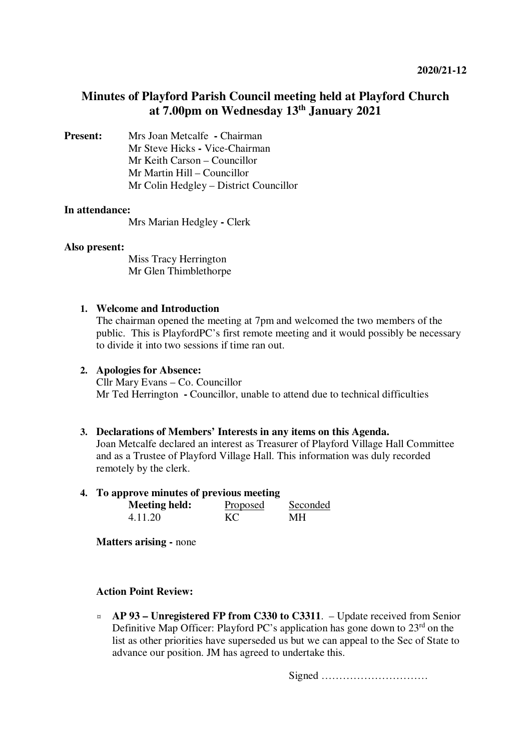# **Minutes of Playford Parish Council meeting held at Playford Church at 7.00pm on Wednesday 13th January 2021**

**Present:** Mrs Joan Metcalfe **- Chairman** Mr Steve Hicks **-** Vice-Chairman Mr Keith Carson – Councillor Mr Martin Hill – Councillor Mr Colin Hedgley – District Councillor

### **In attendance:**

Mrs Marian Hedgley **-** Clerk

### **Also present:**

Miss Tracy Herrington Mr Glen Thimblethorpe

## **1. Welcome and Introduction**

The chairman opened the meeting at 7pm and welcomed the two members of the public. This is PlayfordPC's first remote meeting and it would possibly be necessary to divide it into two sessions if time ran out.

### **2. Apologies for Absence:**

Cllr Mary Evans – Co. Councillor Mr Ted Herrington **-** Councillor, unable to attend due to technical difficulties

#### **3. Declarations of Members' Interests in any items on this Agenda.**

Joan Metcalfe declared an interest as Treasurer of Playford Village Hall Committee and as a Trustee of Playford Village Hall. This information was duly recorded remotely by the clerk.

## **4. To approve minutes of previous meeting**

| <b>Meeting held:</b> | Proposed | Seconded |
|----------------------|----------|----------|
| 4.11.20              | KC.      | MН       |

**Matters arising -** none

## **Action Point Review:**

¤ **AP 93 – Unregistered FP from C330 to C3311**. – Update received from Senior Definitive Map Officer: Playford PC's application has gone down to 23<sup>rd</sup> on the list as other priorities have superseded us but we can appeal to the Sec of State to advance our position. JM has agreed to undertake this.

Signed …………………………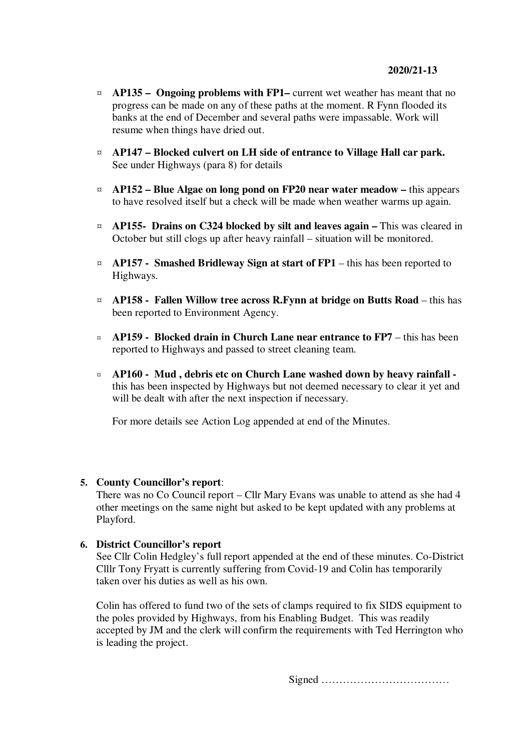- ¤ **AP135 Ongoing problems with FP1–** current wet weather has meant that no progress can be made on any of these paths at the moment. R Fynn flooded its banks at the end of December and several paths were impassable. Work will resume when things have dried out.
- ¤ **AP147 Blocked culvert on LH side of entrance to Village Hall car park.** See under Highways (para 8) for details
- ¤ **AP152 Blue Algae on long pond on FP20 near water meadow** this appears to have resolved itself but a check will be made when weather warms up again.
- ¤ **AP155- Drains on C324 blocked by silt and leaves again** This was cleared in October but still clogs up after heavy rainfall – situation will be monitored.
- $\alpha$  **AP157** Smashed Bridleway Sign at start of FP1 this has been reported to Highways.
- ¤ **AP158 Fallen Willow tree across R.Fynn at bridge on Butts Road** this has been reported to Environment Agency.
- ¤ **AP159 Blocked drain in Church Lane near entrance to FP7**  this has been reported to Highways and passed to street cleaning team.
- ¤ **AP160 Mud , debris etc on Church Lane washed down by heavy rainfall**  this has been inspected by Highways but not deemed necessary to clear it yet and will be dealt with after the next inspection if necessary.

For more details see Action Log appended at end of the Minutes.

## **5. County Councillor's report**:

There was no Co Council report – Cllr Mary Evans was unable to attend as she had 4 other meetings on the same night but asked to be kept updated with any problems at Playford.

## **6. District Councillor's report**

See Cllr Colin Hedgley's full report appended at the end of these minutes. Co-District Clllr Tony Fryatt is currently suffering from Covid-19 and Colin has temporarily taken over his duties as well as his own.

Colin has offered to fund two of the sets of clamps required to fix SIDS equipment to the poles provided by Highways, from his Enabling Budget. This was readily accepted by JM and the clerk will confirm the requirements with Ted Herrington who is leading the project.

Signed ………………………………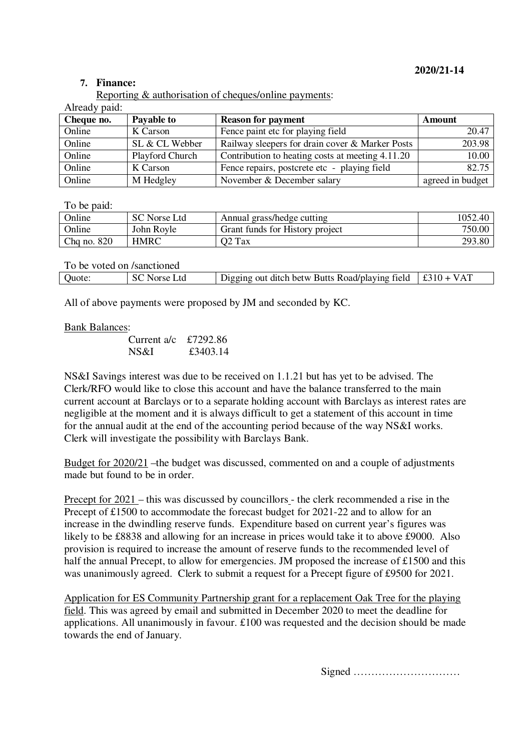## **2020/21-14**

## **7. Finance:**

Reporting & authorisation of cheques/online payments:

| Cheque no. | Payable to      | <b>Reason for payment</b>                        | Amount           |
|------------|-----------------|--------------------------------------------------|------------------|
| Online     | K Carson        | Fence paint etc for playing field                | 20.47            |
| Online     | SL & CL Webber  | Railway sleepers for drain cover & Marker Posts  | 203.98           |
| Online     | Playford Church | Contribution to heating costs at meeting 4.11.20 | 10.00            |
| Online     | K Carson        | Fence repairs, postcrete etc - playing field     | 82.75            |
| Online     | M Hedgley       | November & December salary                       | agreed in budget |

To be paid:

| Online      | SC Norse Ltd | Annual grass/hedge cutting      | 1052.40 |
|-------------|--------------|---------------------------------|---------|
| Online      | John Rovle   | Grant funds for History project | 750.00  |
| Chq no. 820 | HMRC         | O2 Tax                          | 293.80  |

| To be voted on /sanctioned |              |                                                                 |  |
|----------------------------|--------------|-----------------------------------------------------------------|--|
| Quote:                     | SC Norse Ltd | Digging out ditch betw Butts Road/playing field $\pm 310 + VAT$ |  |

All of above payments were proposed by JM and seconded by KC.

### Bank Balances:

| Current a/c $£7292.86$ |          |
|------------------------|----------|
| NS&I                   | £3403.14 |

NS&I Savings interest was due to be received on 1.1.21 but has yet to be advised. The Clerk/RFO would like to close this account and have the balance transferred to the main current account at Barclays or to a separate holding account with Barclays as interest rates are negligible at the moment and it is always difficult to get a statement of this account in time for the annual audit at the end of the accounting period because of the way NS&I works. Clerk will investigate the possibility with Barclays Bank.

Budget for 2020/21 –the budget was discussed, commented on and a couple of adjustments made but found to be in order.

Precept for 2021 – this was discussed by councillors - the clerk recommended a rise in the Precept of £1500 to accommodate the forecast budget for 2021-22 and to allow for an increase in the dwindling reserve funds. Expenditure based on current year's figures was likely to be £8838 and allowing for an increase in prices would take it to above £9000. Also provision is required to increase the amount of reserve funds to the recommended level of half the annual Precept, to allow for emergencies. JM proposed the increase of £1500 and this was unanimously agreed. Clerk to submit a request for a Precept figure of £9500 for 2021.

Application for ES Community Partnership grant for a replacement Oak Tree for the playing field. This was agreed by email and submitted in December 2020 to meet the deadline for applications. All unanimously in favour. £100 was requested and the decision should be made towards the end of January.

Signed …………………………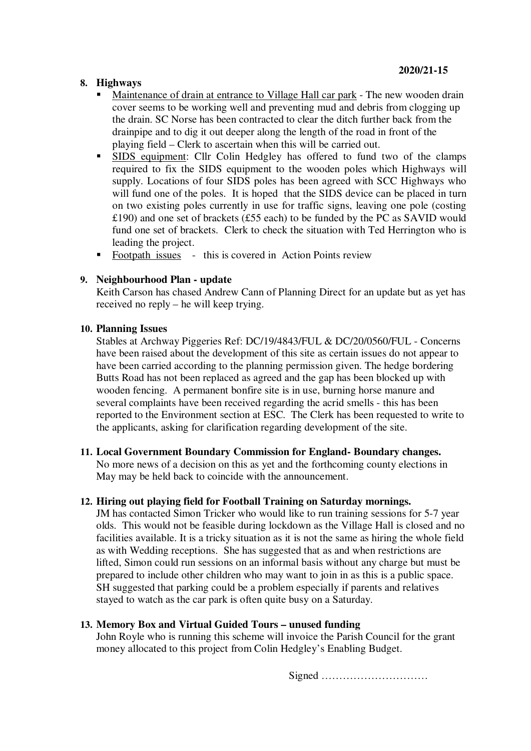# **8. Highways**

- Maintenance of drain at entrance to Village Hall car park The new wooden drain cover seems to be working well and preventing mud and debris from clogging up the drain. SC Norse has been contracted to clear the ditch further back from the drainpipe and to dig it out deeper along the length of the road in front of the playing field – Clerk to ascertain when this will be carried out.
- SIDS equipment: Cllr Colin Hedgley has offered to fund two of the clamps required to fix the SIDS equipment to the wooden poles which Highways will supply. Locations of four SIDS poles has been agreed with SCC Highways who will fund one of the poles. It is hoped that the SIDS device can be placed in turn on two existing poles currently in use for traffic signs, leaving one pole (costing £190) and one set of brackets (£55 each) to be funded by the PC as SAVID would fund one set of brackets. Clerk to check the situation with Ted Herrington who is leading the project.
- Footpath issues this is covered in Action Points review

## **9. Neighbourhood Plan - update**

Keith Carson has chased Andrew Cann of Planning Direct for an update but as yet has received no reply – he will keep trying.

## **10. Planning Issues**

Stables at Archway Piggeries Ref: DC/19/4843/FUL & DC/20/0560/FUL - Concerns have been raised about the development of this site as certain issues do not appear to have been carried according to the planning permission given. The hedge bordering Butts Road has not been replaced as agreed and the gap has been blocked up with wooden fencing. A permanent bonfire site is in use, burning horse manure and several complaints have been received regarding the acrid smells - this has been reported to the Environment section at ESC. The Clerk has been requested to write to the applicants, asking for clarification regarding development of the site.

## **11. Local Government Boundary Commission for England- Boundary changes.**

No more news of a decision on this as yet and the forthcoming county elections in May may be held back to coincide with the announcement.

## **12. Hiring out playing field for Football Training on Saturday mornings.**

JM has contacted Simon Tricker who would like to run training sessions for 5-7 year olds. This would not be feasible during lockdown as the Village Hall is closed and no facilities available. It is a tricky situation as it is not the same as hiring the whole field as with Wedding receptions. She has suggested that as and when restrictions are lifted, Simon could run sessions on an informal basis without any charge but must be prepared to include other children who may want to join in as this is a public space. SH suggested that parking could be a problem especially if parents and relatives stayed to watch as the car park is often quite busy on a Saturday.

## **13. Memory Box and Virtual Guided Tours – unused funding**

John Royle who is running this scheme will invoice the Parish Council for the grant money allocated to this project from Colin Hedgley's Enabling Budget.

Signed …………………………